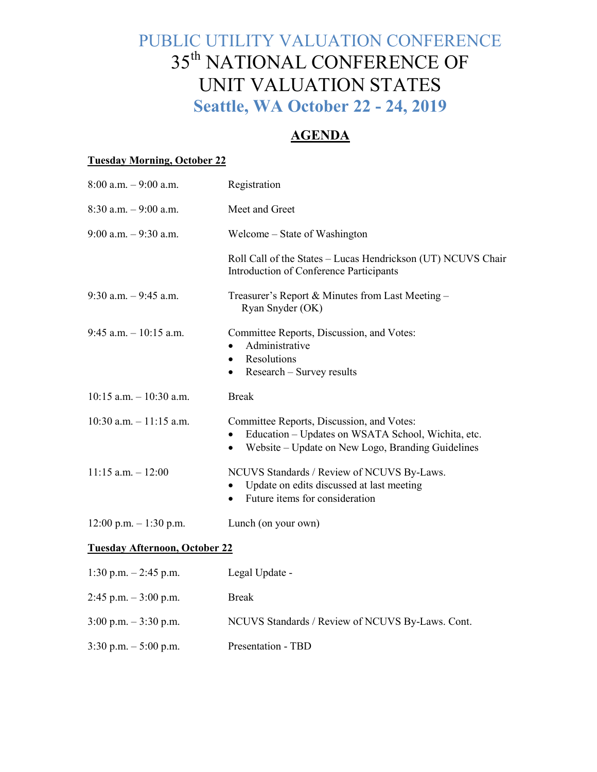# PUBLIC UTILITY VALUATION CONFERENCE 35th NATIONAL CONFERENCE OF UNIT VALUATION STATES **Seattle, WA October 22 - 24, 2019**

# **AGENDA**

#### **Tuesday Morning, October 22**

| $8:00$ a.m. $-9:00$ a.m.             | Registration                                                                                                                                                                   |
|--------------------------------------|--------------------------------------------------------------------------------------------------------------------------------------------------------------------------------|
| $8:30$ a.m. $-9:00$ a.m.             | Meet and Greet                                                                                                                                                                 |
| $9:00$ a.m. $-9:30$ a.m.             | Welcome – State of Washington                                                                                                                                                  |
|                                      | Roll Call of the States - Lucas Hendrickson (UT) NCUVS Chair<br>Introduction of Conference Participants                                                                        |
| $9:30$ a.m. $-9:45$ a.m.             | Treasurer's Report & Minutes from Last Meeting -<br>Ryan Snyder (OK)                                                                                                           |
| $9:45$ a.m. $-10:15$ a.m.            | Committee Reports, Discussion, and Votes:<br>Administrative<br>Resolutions<br>$\bullet$<br>Research - Survey results<br>$\bullet$                                              |
| $10:15$ a.m. $-10:30$ a.m.           | <b>Break</b>                                                                                                                                                                   |
| $10:30$ a.m. $-11:15$ a.m.           | Committee Reports, Discussion, and Votes:<br>Education - Updates on WSATA School, Wichita, etc.<br>$\bullet$<br>Website – Update on New Logo, Branding Guidelines<br>$\bullet$ |
| $11:15$ a.m. $-12:00$                | NCUVS Standards / Review of NCUVS By-Laws.<br>Update on edits discussed at last meeting<br>Future items for consideration<br>$\bullet$                                         |
| $12:00$ p.m. $-1:30$ p.m.            | Lunch (on your own)                                                                                                                                                            |
| <b>Tuesday Afternoon, October 22</b> |                                                                                                                                                                                |
| 1:30 p.m. $-2:45$ p.m.               | Legal Update -                                                                                                                                                                 |
| $2:45$ p.m. $-3:00$ p.m.             | <b>Break</b>                                                                                                                                                                   |
| $3:00$ p.m. $-3:30$ p.m.             | NCUVS Standards / Review of NCUVS By-Laws. Cont.                                                                                                                               |
| $3:30$ p.m. $-5:00$ p.m.             | Presentation - TBD                                                                                                                                                             |